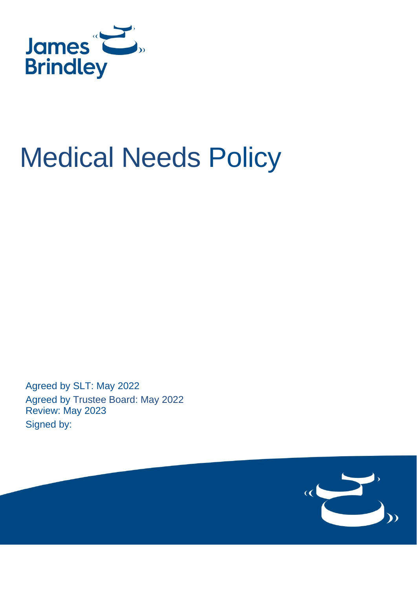

# Medical Needs Policy

Agreed by SLT: May 2022 Agreed by Trustee Board: May 2022 Review: May 2023 Signed by:

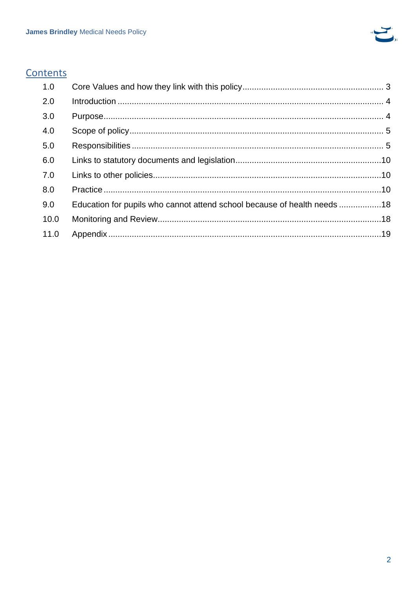

# Contents

| 1.0  |                                                                          |  |
|------|--------------------------------------------------------------------------|--|
| 2.0  |                                                                          |  |
| 3.0  |                                                                          |  |
| 4.0  |                                                                          |  |
| 5.0  |                                                                          |  |
| 6.0  |                                                                          |  |
| 7.0  |                                                                          |  |
| 8.0  |                                                                          |  |
| 9.0  | Education for pupils who cannot attend school because of health needs 18 |  |
| 10.0 |                                                                          |  |
| 11.0 |                                                                          |  |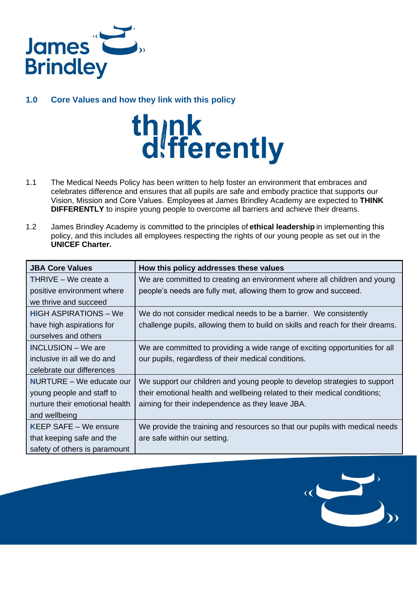

# <span id="page-2-0"></span>**1.0 Core Values and how they link with this policy**



- 1.1 The Medical Needs Policy has been written to help foster an environment that embraces and celebrates difference and ensures that all pupils are safe and embody practice that supports our Vision, Mission and Core Values.  Employees at James Brindley Academy are expected to **THINK DIFFERENTLY** to inspire young people to overcome all barriers and achieve their dreams.
- 1.2 James Brindley Academy is committed to the principles of **[ethical leadership](file:///C:/Users/biggsk/James%20Brindley%20School/Whole%20School%20Staff%20-%20General/Wholeschool/Ethical%20Leadership/Resource%20pack.pdf%22%20/t%20%22_blank)** in implementing this policy, and this includes all employees respecting the rights of our young people as set out in the **UNICEF Charter.**

| <b>JBA Core Values</b>          | How this policy addresses these values                                         |  |  |  |  |
|---------------------------------|--------------------------------------------------------------------------------|--|--|--|--|
| <b>THRIVE – We create a</b>     | We are committed to creating an environment where all children and young       |  |  |  |  |
| positive environment where      | people's needs are fully met, allowing them to grow and succeed.               |  |  |  |  |
| we thrive and succeed           |                                                                                |  |  |  |  |
| <b>HIGH ASPIRATIONS – We</b>    | We do not consider medical needs to be a barrier. We consistently              |  |  |  |  |
| have high aspirations for       | challenge pupils, allowing them to build on skills and reach for their dreams. |  |  |  |  |
| ourselves and others            |                                                                                |  |  |  |  |
| <b>INCLUSION</b> – We are       | We are committed to providing a wide range of exciting opportunities for all   |  |  |  |  |
| inclusive in all we do and      | our pupils, regardless of their medical conditions.                            |  |  |  |  |
| celebrate our differences       |                                                                                |  |  |  |  |
| <b>NURTURE</b> – We educate our | We support our children and young people to develop strategies to support      |  |  |  |  |
| young people and staff to       | their emotional health and wellbeing related to their medical conditions;      |  |  |  |  |
| nurture their emotional health  | aiming for their independence as they leave JBA.                               |  |  |  |  |
| and wellbeing                   |                                                                                |  |  |  |  |
| <b>KEEP SAFE - We ensure</b>    | We provide the training and resources so that our pupils with medical needs    |  |  |  |  |
| that keeping safe and the       | are safe within our setting.                                                   |  |  |  |  |
| safety of others is paramount   |                                                                                |  |  |  |  |

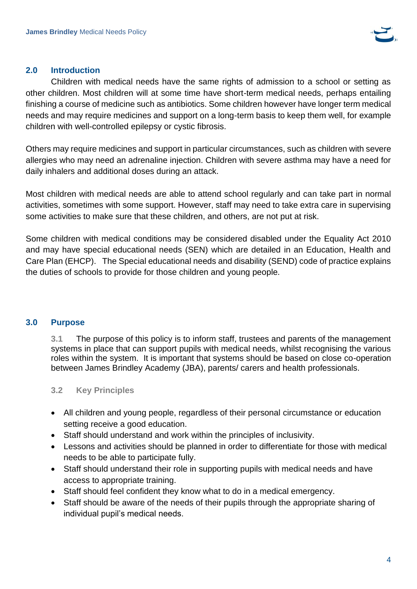

#### <span id="page-3-0"></span>**2.0 Introduction**

Children with medical needs have the same rights of admission to a school or setting as other children. Most children will at some time have short-term medical needs, perhaps entailing finishing a course of medicine such as antibiotics. Some children however have longer term medical needs and may require medicines and support on a long-term basis to keep them well, for example children with well-controlled epilepsy or cystic fibrosis.

Others may require medicines and support in particular circumstances, such as children with severe allergies who may need an adrenaline injection. Children with severe asthma may have a need for daily inhalers and additional doses during an attack.

Most children with medical needs are able to attend school regularly and can take part in normal activities, sometimes with some support. However, staff may need to take extra care in supervising some activities to make sure that these children, and others, are not put at risk.

Some children with medical conditions may be considered disabled under the Equality Act 2010 and may have special educational needs (SEN) which are detailed in an Education, Health and Care Plan (EHCP). The Special educational needs and disability (SEND) code of practice explains the duties of schools to provide for those children and young people.

#### <span id="page-3-1"></span>**3.0 Purpose**

**3.1** The purpose of this policy is to inform staff, trustees and parents of the management systems in place that can support pupils with medical needs, whilst recognising the various roles within the system. It is important that systems should be based on close co-operation between James Brindley Academy (JBA), parents/ carers and health professionals.

# **3.2 Key Principles**

- All children and young people, regardless of their personal circumstance or education setting receive a good education.
- Staff should understand and work within the principles of inclusivity.
- Lessons and activities should be planned in order to differentiate for those with medical needs to be able to participate fully.
- Staff should understand their role in supporting pupils with medical needs and have access to appropriate training.
- Staff should feel confident they know what to do in a medical emergency.
- Staff should be aware of the needs of their pupils through the appropriate sharing of individual pupil's medical needs.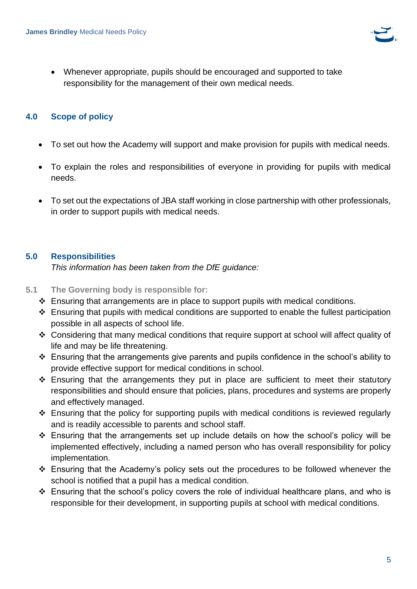

• Whenever appropriate, pupils should be encouraged and supported to take responsibility for the management of their own medical needs.

#### <span id="page-4-0"></span>**4.0 Scope of policy**

- To set out how the Academy will support and make provision for pupils with medical needs.
- To explain the roles and responsibilities of everyone in providing for pupils with medical needs.
- To set out the expectations of JBA staff working in close partnership with other professionals, in order to support pupils with medical needs.

# <span id="page-4-1"></span>**5.0 Responsibilities**

*This information has been taken from the DfE guidance:*

- **5.1 The Governing body is responsible for:**
	- ❖ Ensuring that arrangements are in place to support pupils with medical conditions.
	- ❖ Ensuring that pupils with medical conditions are supported to enable the fullest participation possible in all aspects of school life.
	- ❖ Considering that many medical conditions that require support at school will affect quality of life and may be life threatening.
	- ❖ Ensuring that the arrangements give parents and pupils confidence in the school's ability to provide effective support for medical conditions in school.
	- ❖ Ensuring that the arrangements they put in place are sufficient to meet their statutory responsibilities and should ensure that policies, plans, procedures and systems are properly and effectively managed.
	- ❖ Ensuring that the policy for supporting pupils with medical conditions is reviewed regularly and is readily accessible to parents and school staff.
	- ❖ Ensuring that the arrangements set up include details on how the school's policy will be implemented effectively, including a named person who has overall responsibility for policy implementation.
	- ❖ Ensuring that the Academy's policy sets out the procedures to be followed whenever the school is notified that a pupil has a medical condition.
	- ❖ Ensuring that the school's policy covers the role of individual healthcare plans, and who is responsible for their development, in supporting pupils at school with medical conditions.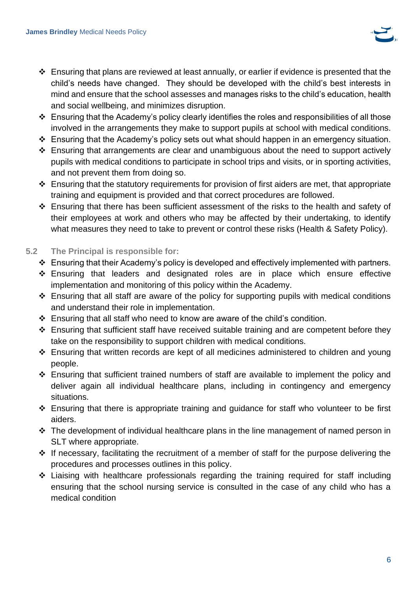

- ❖ Ensuring that plans are reviewed at least annually, or earlier if evidence is presented that the child's needs have changed. They should be developed with the child's best interests in mind and ensure that the school assesses and manages risks to the child's education, health and social wellbeing, and minimizes disruption.
- ❖ Ensuring that the Academy's policy clearly identifies the roles and responsibilities of all those involved in the arrangements they make to support pupils at school with medical conditions.
- ❖ Ensuring that the Academy's policy sets out what should happen in an emergency situation.
- ❖ Ensuring that arrangements are clear and unambiguous about the need to support actively pupils with medical conditions to participate in school trips and visits, or in sporting activities, and not prevent them from doing so.
- ❖ Ensuring that the statutory requirements for provision of first aiders are met, that appropriate training and equipment is provided and that correct procedures are followed.
- ❖ Ensuring that there has been sufficient assessment of the risks to the health and safety of their employees at work and others who may be affected by their undertaking, to identify what measures they need to take to prevent or control these risks (Health & Safety Policy).

#### **5.2 The Principal is responsible for:**

- ❖ Ensuring that their Academy's policy is developed and effectively implemented with partners.
- ❖ Ensuring that leaders and designated roles are in place which ensure effective implementation and monitoring of this policy within the Academy.
- ❖ Ensuring that all staff are aware of the policy for supporting pupils with medical conditions and understand their role in implementation.
- ❖ Ensuring that all staff who need to know are aware of the child's condition.
- ❖ Ensuring that sufficient staff have received suitable training and are competent before they take on the responsibility to support children with medical conditions.
- ❖ Ensuring that written records are kept of all medicines administered to children and young people.
- ❖ Ensuring that sufficient trained numbers of staff are available to implement the policy and deliver again all individual healthcare plans, including in contingency and emergency situations.
- ❖ Ensuring that there is appropriate training and guidance for staff who volunteer to be first aiders.
- ❖ The development of individual healthcare plans in the line management of named person in SLT where appropriate.
- ❖ If necessary, facilitating the recruitment of a member of staff for the purpose delivering the procedures and processes outlines in this policy.
- ❖ Liaising with healthcare professionals regarding the training required for staff including ensuring that the school nursing service is consulted in the case of any child who has a medical condition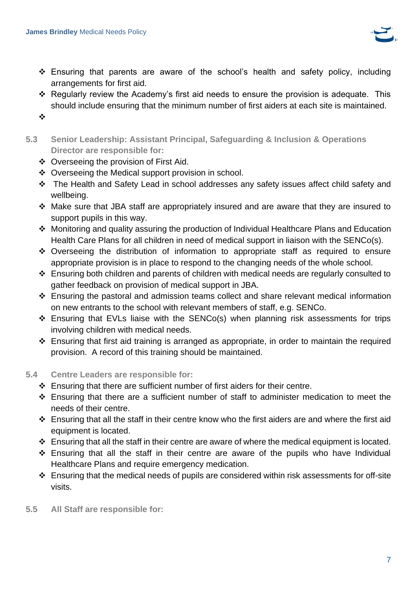

- ❖ Ensuring that parents are aware of the school's health and safety policy, including arrangements for first aid.
- ❖ Regularly review the Academy's first aid needs to ensure the provision is adequate. This should include ensuring that the minimum number of first aiders at each site is maintained.
- ❖
- **5.3 Senior Leadership: Assistant Principal, Safeguarding & Inclusion & Operations Director are responsible for:**
	- ❖ Overseeing the provision of First Aid.
	- ❖ Overseeing the Medical support provision in school.
	- ❖ The Health and Safety Lead in school addresses any safety issues affect child safety and wellbeing.
	- ❖ Make sure that JBA staff are appropriately insured and are aware that they are insured to support pupils in this way.
	- ❖ Monitoring and quality assuring the production of Individual Healthcare Plans and Education Health Care Plans for all children in need of medical support in liaison with the SENCo(s).
	- ❖ Overseeing the distribution of information to appropriate staff as required to ensure appropriate provision is in place to respond to the changing needs of the whole school.
	- ❖ Ensuring both children and parents of children with medical needs are regularly consulted to gather feedback on provision of medical support in JBA.
	- ❖ Ensuring the pastoral and admission teams collect and share relevant medical information on new entrants to the school with relevant members of staff, e.g. SENCo.
	- ❖ Ensuring that EVLs liaise with the SENCo(s) when planning risk assessments for trips involving children with medical needs.
	- ❖ Ensuring that first aid training is arranged as appropriate, in order to maintain the required provision. A record of this training should be maintained.

# **5.4 Centre Leaders are responsible for:**

- ❖ Ensuring that there are sufficient number of first aiders for their centre.
- ❖ Ensuring that there are a sufficient number of staff to administer medication to meet the needs of their centre.
- ❖ Ensuring that all the staff in their centre know who the first aiders are and where the first aid equipment is located.
- ❖ Ensuring that all the staff in their centre are aware of where the medical equipment is located.
- ❖ Ensuring that all the staff in their centre are aware of the pupils who have Individual Healthcare Plans and require emergency medication.
- ❖ Ensuring that the medical needs of pupils are considered within risk assessments for off-site visits.
- **5.5 All Staff are responsible for:**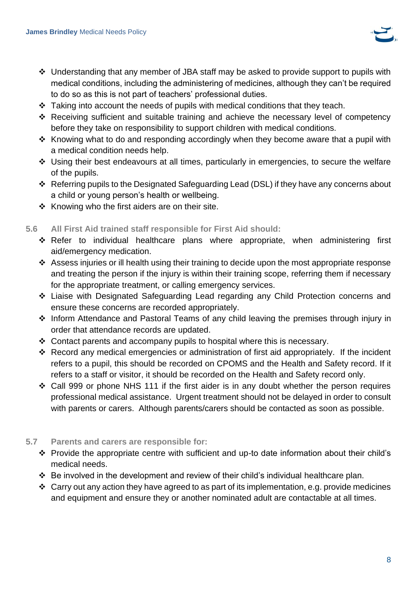

- ❖ Understanding that any member of JBA staff may be asked to provide support to pupils with medical conditions, including the administering of medicines, although they can't be required to do so as this is not part of teachers' professional duties.
- ❖ Taking into account the needs of pupils with medical conditions that they teach.
- ❖ Receiving sufficient and suitable training and achieve the necessary level of competency before they take on responsibility to support children with medical conditions.
- ❖ Knowing what to do and responding accordingly when they become aware that a pupil with a medical condition needs help.
- ❖ Using their best endeavours at all times, particularly in emergencies, to secure the welfare of the pupils.
- ❖ Referring pupils to the Designated Safeguarding Lead (DSL) if they have any concerns about a child or young person's health or wellbeing.
- ❖ Knowing who the first aiders are on their site.

#### **5.6 All First Aid trained staff responsible for First Aid should:**

- ❖ Refer to individual healthcare plans where appropriate, when administering first aid/emergency medication.
- ❖ Assess injuries or ill health using their training to decide upon the most appropriate response and treating the person if the injury is within their training scope, referring them if necessary for the appropriate treatment, or calling emergency services.
- ❖ Liaise with Designated Safeguarding Lead regarding any Child Protection concerns and ensure these concerns are recorded appropriately.
- ❖ Inform Attendance and Pastoral Teams of any child leaving the premises through injury in order that attendance records are updated.
- ❖ Contact parents and accompany pupils to hospital where this is necessary.
- ❖ Record any medical emergencies or administration of first aid appropriately. If the incident refers to a pupil, this should be recorded on CPOMS and the Health and Safety record. If it refers to a staff or visitor, it should be recorded on the Health and Safety record only.
- ❖ Call 999 or phone NHS 111 if the first aider is in any doubt whether the person requires professional medical assistance. Urgent treatment should not be delayed in order to consult with parents or carers. Although parents/carers should be contacted as soon as possible.

#### **5.7 Parents and carers are responsible for:**

- ❖ Provide the appropriate centre with sufficient and up-to date information about their child's medical needs.
- ❖ Be involved in the development and review of their child's individual healthcare plan.
- ❖ Carry out any action they have agreed to as part of its implementation, e.g. provide medicines and equipment and ensure they or another nominated adult are contactable at all times.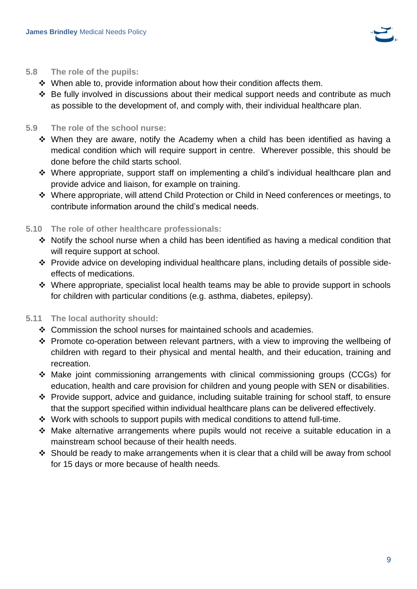

#### **5.8 The role of the pupils:**

- ❖ When able to, provide information about how their condition affects them.
- ❖ Be fully involved in discussions about their medical support needs and contribute as much as possible to the development of, and comply with, their individual healthcare plan.

#### **5.9 The role of the school nurse:**

- ❖ When they are aware, notify the Academy when a child has been identified as having a medical condition which will require support in centre. Wherever possible, this should be done before the child starts school.
- ❖ Where appropriate, support staff on implementing a child's individual healthcare plan and provide advice and liaison, for example on training.
- ❖ Where appropriate, will attend Child Protection or Child in Need conferences or meetings, to contribute information around the child's medical needs.

#### **5.10 The role of other healthcare professionals:**

- ❖ Notify the school nurse when a child has been identified as having a medical condition that will require support at school.
- ❖ Provide advice on developing individual healthcare plans, including details of possible sideeffects of medications.
- ❖ Where appropriate, specialist local health teams may be able to provide support in schools for children with particular conditions (e.g. asthma, diabetes, epilepsy).

# **5.11 The local authority should:**

- ❖ Commission the school nurses for maintained schools and academies.
- ❖ Promote co-operation between relevant partners, with a view to improving the wellbeing of children with regard to their physical and mental health, and their education, training and recreation.
- ❖ Make joint commissioning arrangements with clinical commissioning groups (CCGs) for education, health and care provision for children and young people with SEN or disabilities.
- ❖ Provide support, advice and guidance, including suitable training for school staff, to ensure that the support specified within individual healthcare plans can be delivered effectively.
- ❖ Work with schools to support pupils with medical conditions to attend full-time.
- ❖ Make alternative arrangements where pupils would not receive a suitable education in a mainstream school because of their health needs.
- ❖ Should be ready to make arrangements when it is clear that a child will be away from school for 15 days or more because of health needs.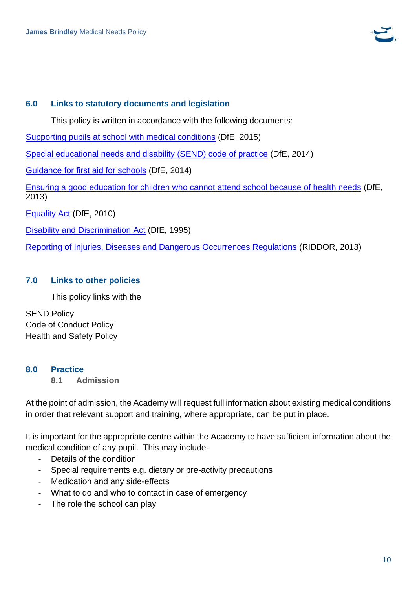

#### <span id="page-9-0"></span>**6.0 Links to statutory documents and legislation**

This policy is written in accordance with the following documents:

[Supporting pupils at school with medical conditions](https://assets.publishing.service.gov.uk/government/uploads/system/uploads/attachment_data/file/803956/supporting-pupils-at-school-with-medical-conditions.pdf) (DfE, 2015)

[Special educational needs and disability \(SEND\) code of practice](https://www.gov.uk/government/publications/send-code-of-practice-0-to-25) (DfE, 2014)

[Guidance for first aid for schools](https://assets.publishing.service.gov.uk/government/uploads/system/uploads/attachment_data/file/306370/guidance_on_first_aid_for_schools.pdf) (DfE, 2014)

[Ensuring a good education for children who cannot attend school because of health needs](https://www.gov.uk/government/publications/education-for-children-with-health-needs-who-cannot-attend-school) (DfE, 2013)

[Equality Act](http://www.legislation.gov.uk/ukpga/2010/15/contents) (DfE, 2010)

[Disability and Discrimination](http://www.legislation.gov.uk/ukpga/1995/50/contents) Act (DfE, 1995)

[Reporting of Injuries, Diseases and Dangerous Occurrences Regulations](https://www.hse.gov.uk/riddor/) (RIDDOR, 2013)

#### <span id="page-9-1"></span>**7.0 Links to other policies**

This policy links with the

SEND Policy Code of Conduct Policy Health and Safety Policy

#### <span id="page-9-2"></span>**8.0 Practice**

**8.1 Admission**

At the point of admission, the Academy will request full information about existing medical conditions in order that relevant support and training, where appropriate, can be put in place.

It is important for the appropriate centre within the Academy to have sufficient information about the medical condition of any pupil. This may include-

- Details of the condition
- Special requirements e.g. dietary or pre-activity precautions
- Medication and any side-effects
- What to do and who to contact in case of emergency
- The role the school can play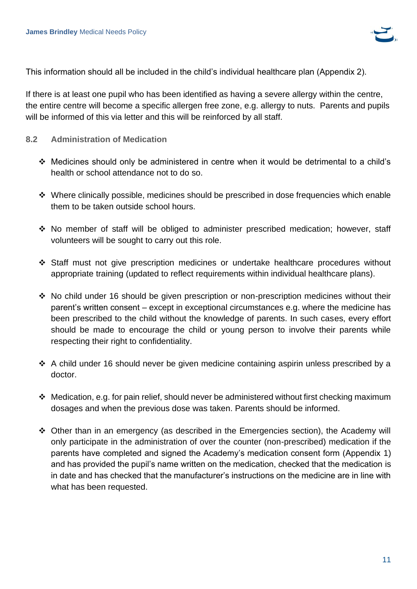

This information should all be included in the child's individual healthcare plan (Appendix 2).

If there is at least one pupil who has been identified as having a severe allergy within the centre, the entire centre will become a specific allergen free zone, e.g. allergy to nuts. Parents and pupils will be informed of this via letter and this will be reinforced by all staff.

- **8.2 Administration of Medication**
	- ❖ Medicines should only be administered in centre when it would be detrimental to a child's health or school attendance not to do so.
	- ❖ Where clinically possible, medicines should be prescribed in dose frequencies which enable them to be taken outside school hours.
	- ❖ No member of staff will be obliged to administer prescribed medication; however, staff volunteers will be sought to carry out this role.
	- ❖ Staff must not give prescription medicines or undertake healthcare procedures without appropriate training (updated to reflect requirements within individual healthcare plans).
	- ❖ No child under 16 should be given prescription or non-prescription medicines without their parent's written consent – except in exceptional circumstances e.g. where the medicine has been prescribed to the child without the knowledge of parents. In such cases, every effort should be made to encourage the child or young person to involve their parents while respecting their right to confidentiality.
	- ❖ A child under 16 should never be given medicine containing aspirin unless prescribed by a doctor.
	- ❖ Medication, e.g. for pain relief, should never be administered without first checking maximum dosages and when the previous dose was taken. Parents should be informed.
	- ❖ Other than in an emergency (as described in the Emergencies section), the Academy will only participate in the administration of over the counter (non-prescribed) medication if the parents have completed and signed the Academy's medication consent form (Appendix 1) and has provided the pupil's name written on the medication, checked that the medication is in date and has checked that the manufacturer's instructions on the medicine are in line with what has been requested.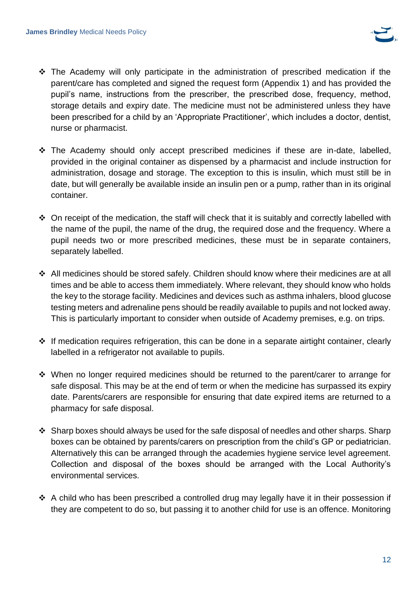

- ❖ The Academy will only participate in the administration of prescribed medication if the parent/care has completed and signed the request form (Appendix 1) and has provided the pupil's name, instructions from the prescriber, the prescribed dose, frequency, method, storage details and expiry date. The medicine must not be administered unless they have been prescribed for a child by an 'Appropriate Practitioner', which includes a doctor, dentist, nurse or pharmacist.
- ❖ The Academy should only accept prescribed medicines if these are in-date, labelled, provided in the original container as dispensed by a pharmacist and include instruction for administration, dosage and storage. The exception to this is insulin, which must still be in date, but will generally be available inside an insulin pen or a pump, rather than in its original container.
- ◆ On receipt of the medication, the staff will check that it is suitably and correctly labelled with the name of the pupil, the name of the drug, the required dose and the frequency. Where a pupil needs two or more prescribed medicines, these must be in separate containers, separately labelled.
- ❖ All medicines should be stored safely. Children should know where their medicines are at all times and be able to access them immediately. Where relevant, they should know who holds the key to the storage facility. Medicines and devices such as asthma inhalers, blood glucose testing meters and adrenaline pens should be readily available to pupils and not locked away. This is particularly important to consider when outside of Academy premises, e.g. on trips.
- ❖ If medication requires refrigeration, this can be done in a separate airtight container, clearly labelled in a refrigerator not available to pupils.
- ❖ When no longer required medicines should be returned to the parent/carer to arrange for safe disposal. This may be at the end of term or when the medicine has surpassed its expiry date. Parents/carers are responsible for ensuring that date expired items are returned to a pharmacy for safe disposal.
- ❖ Sharp boxes should always be used for the safe disposal of needles and other sharps. Sharp boxes can be obtained by parents/carers on prescription from the child's GP or pediatrician. Alternatively this can be arranged through the academies hygiene service level agreement. Collection and disposal of the boxes should be arranged with the Local Authority's environmental services.
- ❖ A child who has been prescribed a controlled drug may legally have it in their possession if they are competent to do so, but passing it to another child for use is an offence. Monitoring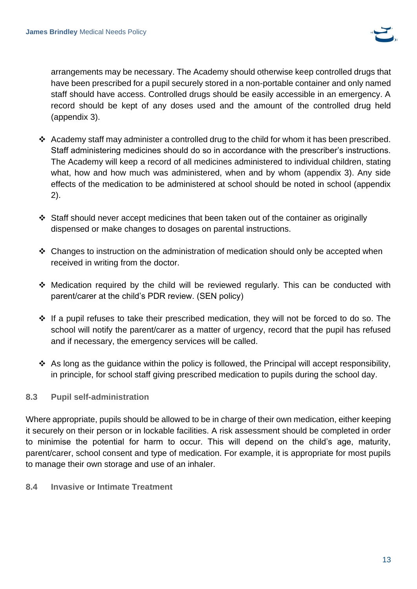

arrangements may be necessary. The Academy should otherwise keep controlled drugs that have been prescribed for a pupil securely stored in a non-portable container and only named staff should have access. Controlled drugs should be easily accessible in an emergency. A record should be kept of any doses used and the amount of the controlled drug held (appendix 3).

- ❖ Academy staff may administer a controlled drug to the child for whom it has been prescribed. Staff administering medicines should do so in accordance with the prescriber's instructions. The Academy will keep a record of all medicines administered to individual children, stating what, how and how much was administered, when and by whom (appendix 3). Any side effects of the medication to be administered at school should be noted in school (appendix 2).
- ❖ Staff should never accept medicines that been taken out of the container as originally dispensed or make changes to dosages on parental instructions.
- ❖ Changes to instruction on the administration of medication should only be accepted when received in writing from the doctor.
- ❖ Medication required by the child will be reviewed regularly. This can be conducted with parent/carer at the child's PDR review. (SEN policy)
- ❖ If a pupil refuses to take their prescribed medication, they will not be forced to do so. The school will notify the parent/carer as a matter of urgency, record that the pupil has refused and if necessary, the emergency services will be called.
- $\cdot$  As long as the guidance within the policy is followed, the Principal will accept responsibility, in principle, for school staff giving prescribed medication to pupils during the school day.

# **8.3 Pupil self-administration**

Where appropriate, pupils should be allowed to be in charge of their own medication, either keeping it securely on their person or in lockable facilities. A risk assessment should be completed in order to minimise the potential for harm to occur. This will depend on the child's age, maturity, parent/carer, school consent and type of medication. For example, it is appropriate for most pupils to manage their own storage and use of an inhaler.

**8.4 Invasive or Intimate Treatment**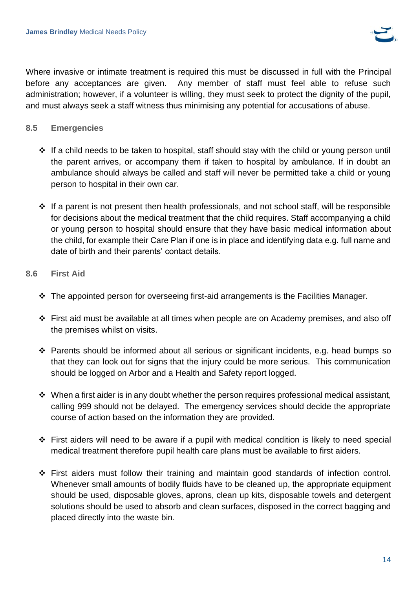

Where invasive or intimate treatment is required this must be discussed in full with the Principal before any acceptances are given. Any member of staff must feel able to refuse such administration; however, if a volunteer is willing, they must seek to protect the dignity of the pupil, and must always seek a staff witness thus minimising any potential for accusations of abuse.

#### **8.5 Emergencies**

- ❖ If a child needs to be taken to hospital, staff should stay with the child or young person until the parent arrives, or accompany them if taken to hospital by ambulance. If in doubt an ambulance should always be called and staff will never be permitted take a child or young person to hospital in their own car.
- ❖ If a parent is not present then health professionals, and not school staff, will be responsible for decisions about the medical treatment that the child requires. Staff accompanying a child or young person to hospital should ensure that they have basic medical information about the child, for example their Care Plan if one is in place and identifying data e.g. full name and date of birth and their parents' contact details.

#### **8.6 First Aid**

- ❖ The appointed person for overseeing first-aid arrangements is the Facilities Manager.
- ❖ First aid must be available at all times when people are on Academy premises, and also off the premises whilst on visits.
- ❖ Parents should be informed about all serious or significant incidents, e.g. head bumps so that they can look out for signs that the injury could be more serious. This communication should be logged on Arbor and a Health and Safety report logged.
- ❖ When a first aider is in any doubt whether the person requires professional medical assistant, calling 999 should not be delayed. The emergency services should decide the appropriate course of action based on the information they are provided.
- ❖ First aiders will need to be aware if a pupil with medical condition is likely to need special medical treatment therefore pupil health care plans must be available to first aiders.
- ❖ First aiders must follow their training and maintain good standards of infection control. Whenever small amounts of bodily fluids have to be cleaned up, the appropriate equipment should be used, disposable gloves, aprons, clean up kits, disposable towels and detergent solutions should be used to absorb and clean surfaces, disposed in the correct bagging and placed directly into the waste bin.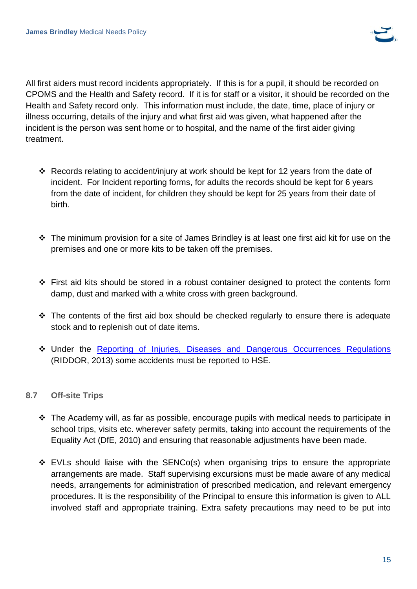

All first aiders must record incidents appropriately. If this is for a pupil, it should be recorded on CPOMS and the Health and Safety record. If it is for staff or a visitor, it should be recorded on the Health and Safety record only. This information must include, the date, time, place of injury or illness occurring, details of the injury and what first aid was given, what happened after the incident is the person was sent home or to hospital, and the name of the first aider giving treatment.

- ❖ Records relating to accident/injury at work should be kept for 12 years from the date of incident. For Incident reporting forms, for adults the records should be kept for 6 years from the date of incident, for children they should be kept for 25 years from their date of birth.
- ❖ The minimum provision for a site of James Brindley is at least one first aid kit for use on the premises and one or more kits to be taken off the premises.
- ❖ First aid kits should be stored in a robust container designed to protect the contents form damp, dust and marked with a white cross with green background.
- ❖ The contents of the first aid box should be checked regularly to ensure there is adequate stock and to replenish out of date items.
- ❖ Under the [Reporting of Injuries, Diseases and Dangerous Occurrences Regulations](https://www.hse.gov.uk/riddor/) (RIDDOR, 2013) some accidents must be reported to HSE.

# **8.7 Off-site Trips**

- ❖ The Academy will, as far as possible, encourage pupils with medical needs to participate in school trips, visits etc. wherever safety permits, taking into account the requirements of the Equality Act (DfE, 2010) and ensuring that reasonable adjustments have been made.
- $\div$  EVLs should liaise with the SENCo(s) when organising trips to ensure the appropriate arrangements are made. Staff supervising excursions must be made aware of any medical needs, arrangements for administration of prescribed medication, and relevant emergency procedures. It is the responsibility of the Principal to ensure this information is given to ALL involved staff and appropriate training. Extra safety precautions may need to be put into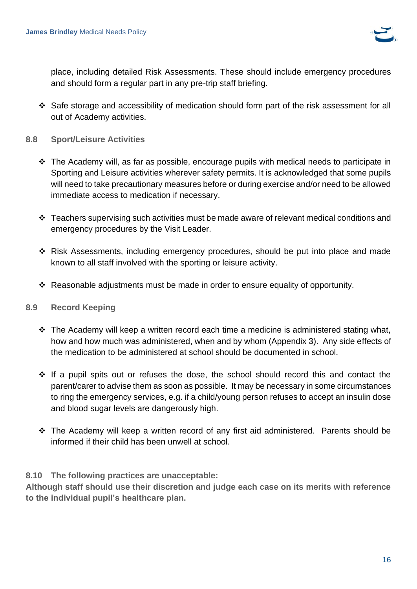

place, including detailed Risk Assessments. These should include emergency procedures and should form a regular part in any pre-trip staff briefing.

- ❖ Safe storage and accessibility of medication should form part of the risk assessment for all out of Academy activities.
- **8.8 Sport/Leisure Activities**
	- ❖ The Academy will, as far as possible, encourage pupils with medical needs to participate in Sporting and Leisure activities wherever safety permits. It is acknowledged that some pupils will need to take precautionary measures before or during exercise and/or need to be allowed immediate access to medication if necessary.
	- ❖ Teachers supervising such activities must be made aware of relevant medical conditions and emergency procedures by the Visit Leader.
	- ❖ Risk Assessments, including emergency procedures, should be put into place and made known to all staff involved with the sporting or leisure activity.
	- ❖ Reasonable adjustments must be made in order to ensure equality of opportunity.

#### **8.9 Record Keeping**

- $\div$  The Academy will keep a written record each time a medicine is administered stating what, how and how much was administered, when and by whom (Appendix 3). Any side effects of the medication to be administered at school should be documented in school.
- ❖ If a pupil spits out or refuses the dose, the school should record this and contact the parent/carer to advise them as soon as possible. It may be necessary in some circumstances to ring the emergency services, e.g. if a child/young person refuses to accept an insulin dose and blood sugar levels are dangerously high.
- ❖ The Academy will keep a written record of any first aid administered. Parents should be informed if their child has been unwell at school.

#### **8.10 The following practices are unacceptable:**

**Although staff should use their discretion and judge each case on its merits with reference to the individual pupil's healthcare plan.**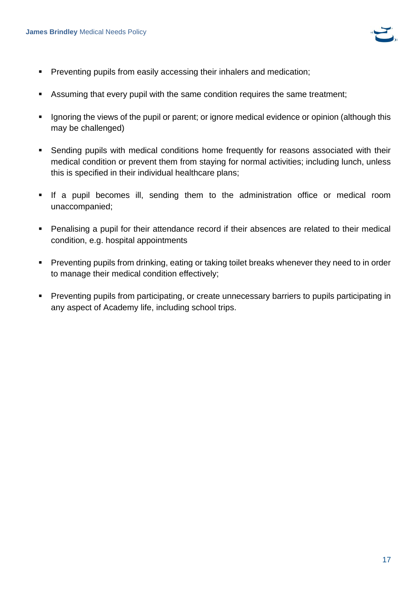

- **Preventing pupils from easily accessing their inhalers and medication;**
- Assuming that every pupil with the same condition requires the same treatment;
- **EXEDENT** Ignoring the views of the pupil or parent; or ignore medical evidence or opinion (although this may be challenged)
- **•** Sending pupils with medical conditions home frequently for reasons associated with their medical condition or prevent them from staying for normal activities; including lunch, unless this is specified in their individual healthcare plans;
- **.** If a pupil becomes ill, sending them to the administration office or medical room unaccompanied;
- Penalising a pupil for their attendance record if their absences are related to their medical condition, e.g. hospital appointments
- Preventing pupils from drinking, eating or taking toilet breaks whenever they need to in order to manage their medical condition effectively;
- Preventing pupils from participating, or create unnecessary barriers to pupils participating in any aspect of Academy life, including school trips.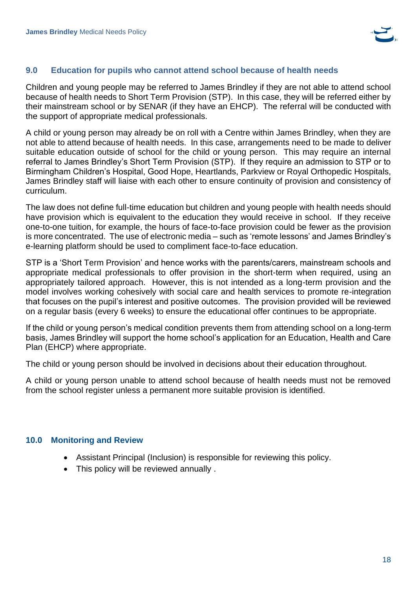

#### <span id="page-17-0"></span>**9.0 Education for pupils who cannot attend school because of health needs**

Children and young people may be referred to James Brindley if they are not able to attend school because of health needs to Short Term Provision (STP). In this case, they will be referred either by their mainstream school or by SENAR (if they have an EHCP). The referral will be conducted with the support of appropriate medical professionals.

A child or young person may already be on roll with a Centre within James Brindley, when they are not able to attend because of health needs. In this case, arrangements need to be made to deliver suitable education outside of school for the child or young person. This may require an internal referral to James Brindley's Short Term Provision (STP). If they require an admission to STP or to Birmingham Children's Hospital, Good Hope, Heartlands, Parkview or Royal Orthopedic Hospitals, James Brindley staff will liaise with each other to ensure continuity of provision and consistency of curriculum.

The law does not define full-time education but children and young people with health needs should have provision which is equivalent to the education they would receive in school. If they receive one-to-one tuition, for example, the hours of face-to-face provision could be fewer as the provision is more concentrated. The use of electronic media – such as 'remote lessons' and James Brindley's e-learning platform should be used to compliment face-to-face education.

STP is a 'Short Term Provision' and hence works with the parents/carers, mainstream schools and appropriate medical professionals to offer provision in the short-term when required, using an appropriately tailored approach. However, this is not intended as a long-term provision and the model involves working cohesively with social care and health services to promote re-integration that focuses on the pupil's interest and positive outcomes. The provision provided will be reviewed on a regular basis (every 6 weeks) to ensure the educational offer continues to be appropriate.

If the child or young person's medical condition prevents them from attending school on a long-term basis, James Brindley will support the home school's application for an Education, Health and Care Plan (EHCP) where appropriate.

The child or young person should be involved in decisions about their education throughout.

A child or young person unable to attend school because of health needs must not be removed from the school register unless a permanent more suitable provision is identified.

#### <span id="page-17-1"></span>**10.0 Monitoring and Review**

- Assistant Principal (Inclusion) is responsible for reviewing this policy.
- This policy will be reviewed annually .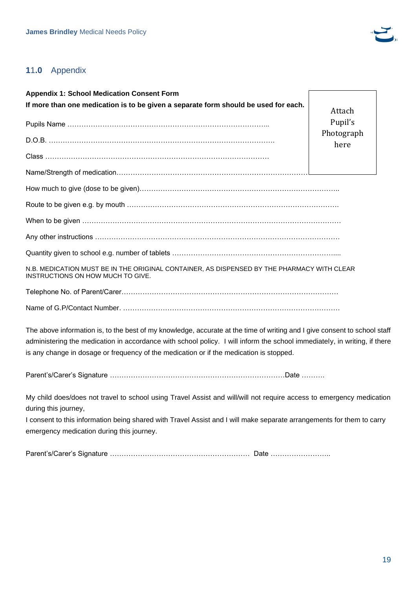

# <span id="page-18-0"></span>**1**1**.0** Appendix

**Appendix 1: School Medication Consent Form If more than one medication is to be given a separate form should be used for each.** Pupils Name …………………………………………………………………………... D.O.B. ……………………………………………………………………………………. Class …………………………………………………………………………………… Name/Strength of medication…………………………………………………………………………………… How much to give (dose to be given)………………………………………………………………………….. Route to be given e.g. by mouth ………………………………………………………………………………. When to be given ………………………………………………………………………………………………… Any other instructions …………………………………………………………………………………………… Quantity given to school e.g. number of tablets …………………………………………………………….... N.B. MEDICATION MUST BE IN THE ORIGINAL CONTAINER, AS DISPENSED BY THE PHARMACY WITH CLEAR INSTRUCTIONS ON HOW MUCH TO GIVE. Telephone No. of Parent/Carer………………………………………………………………………………… Name of G.P/Contact Number. ………………………………………………………………………………… Attach Pupil's Photograph here

The above information is, to the best of my knowledge, accurate at the time of writing and I give consent to school staff administering the medication in accordance with school policy. I will inform the school immediately, in writing, if there is any change in dosage or frequency of the medication or if the medication is stopped.

Parent's/Carer's Signature …………………………………………………………………Date ……….

My child does/does not travel to school using Travel Assist and will/will not require access to emergency medication during this journey,

I consent to this information being shared with Travel Assist and I will make separate arrangements for them to carry emergency medication during this journey.

Parent's/Carer's Signature …………………………………………………… Date ……………………..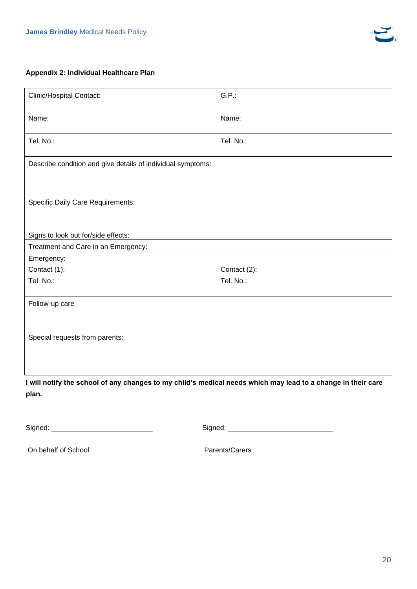

#### **Appendix 2: Individual Healthcare Plan**

| <b>Clinic/Hospital Contact:</b>                             | $G.P.$ :     |  |  |  |  |
|-------------------------------------------------------------|--------------|--|--|--|--|
| Name:                                                       | Name:        |  |  |  |  |
| Tel. No.:                                                   | Tel. No.:    |  |  |  |  |
| Describe condition and give details of individual symptoms: |              |  |  |  |  |
|                                                             |              |  |  |  |  |
| <b>Specific Daily Care Requirements:</b>                    |              |  |  |  |  |
| Signs to look out for/side effects:                         |              |  |  |  |  |
| Treatment and Care in an Emergency:                         |              |  |  |  |  |
| Emergency:                                                  |              |  |  |  |  |
| Contact (1):                                                | Contact (2): |  |  |  |  |
| Tel. No.:                                                   | Tel. No.:    |  |  |  |  |
| Follow-up care                                              |              |  |  |  |  |
|                                                             |              |  |  |  |  |
| Special requests from parents:                              |              |  |  |  |  |
|                                                             |              |  |  |  |  |
|                                                             |              |  |  |  |  |

**I will notify the school of any changes to my child's medical needs which may lead to a change in their care plan.**

Signed: \_\_\_\_\_\_\_\_\_\_\_\_\_\_\_\_\_\_\_\_\_\_\_\_\_\_ Signed: \_\_\_\_\_\_\_\_\_\_\_\_\_\_\_\_\_\_\_\_\_\_\_\_\_\_\_

On behalf of School Parents/Carers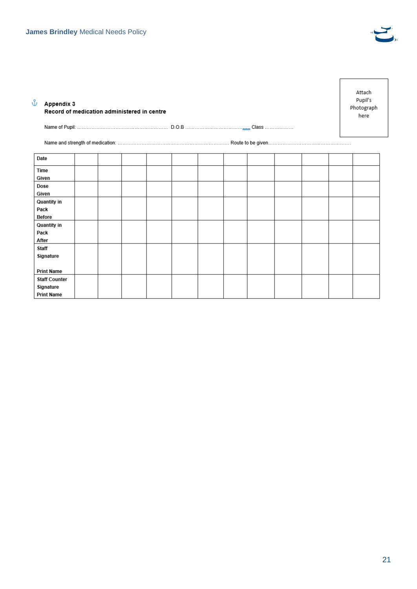

| ů<br>Appendix 3                                        | Record of medication administered in centre |  |  |  |  |  |  |  | Attach<br>Pupil's<br>Photograph<br>here |
|--------------------------------------------------------|---------------------------------------------|--|--|--|--|--|--|--|-----------------------------------------|
|                                                        |                                             |  |  |  |  |  |  |  |                                         |
|                                                        |                                             |  |  |  |  |  |  |  |                                         |
| Date                                                   |                                             |  |  |  |  |  |  |  |                                         |
| Time<br>Given                                          |                                             |  |  |  |  |  |  |  |                                         |
| Dose<br>Given                                          |                                             |  |  |  |  |  |  |  |                                         |
| Quantity in<br>Pack<br>Before                          |                                             |  |  |  |  |  |  |  |                                         |
| Quantity in<br>Pack<br>After                           |                                             |  |  |  |  |  |  |  |                                         |
| Staff<br>Signature                                     |                                             |  |  |  |  |  |  |  |                                         |
| <b>Print Name</b>                                      |                                             |  |  |  |  |  |  |  |                                         |
| <b>Staff Counter</b><br>Signature<br><b>Print Name</b> |                                             |  |  |  |  |  |  |  |                                         |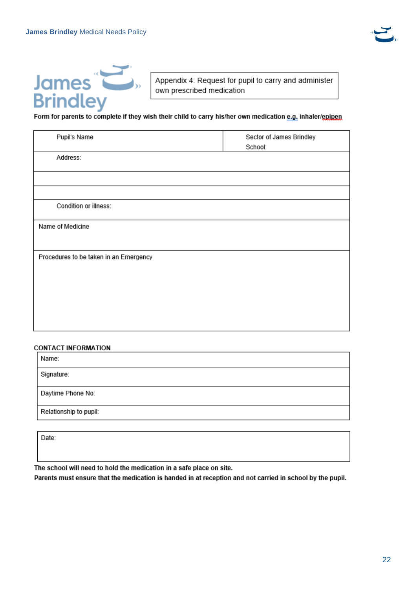



Appendix 4: Request for pupil to carry and administer own prescribed medication

#### Form for parents to complete if they wish their child to carry his/her own medication e.g. inhaler/epipen

| Pupil's Name                           | Sector of James Brindley<br>School: |  |  |
|----------------------------------------|-------------------------------------|--|--|
| Address:                               |                                     |  |  |
|                                        |                                     |  |  |
|                                        |                                     |  |  |
| Condition or illness:                  |                                     |  |  |
| Name of Medicine                       |                                     |  |  |
|                                        |                                     |  |  |
| Procedures to be taken in an Emergency |                                     |  |  |
|                                        |                                     |  |  |
|                                        |                                     |  |  |
|                                        |                                     |  |  |
|                                        |                                     |  |  |
|                                        |                                     |  |  |

#### **CONTACT INFORMATION**

| Name:                  |  |  |
|------------------------|--|--|
| Signature:             |  |  |
| Daytime Phone No:      |  |  |
| Relationship to pupil: |  |  |

Date:

The school will need to hold the medication in a safe place on site.

Parents must ensure that the medication is handed in at reception and not carried in school by the pupil.